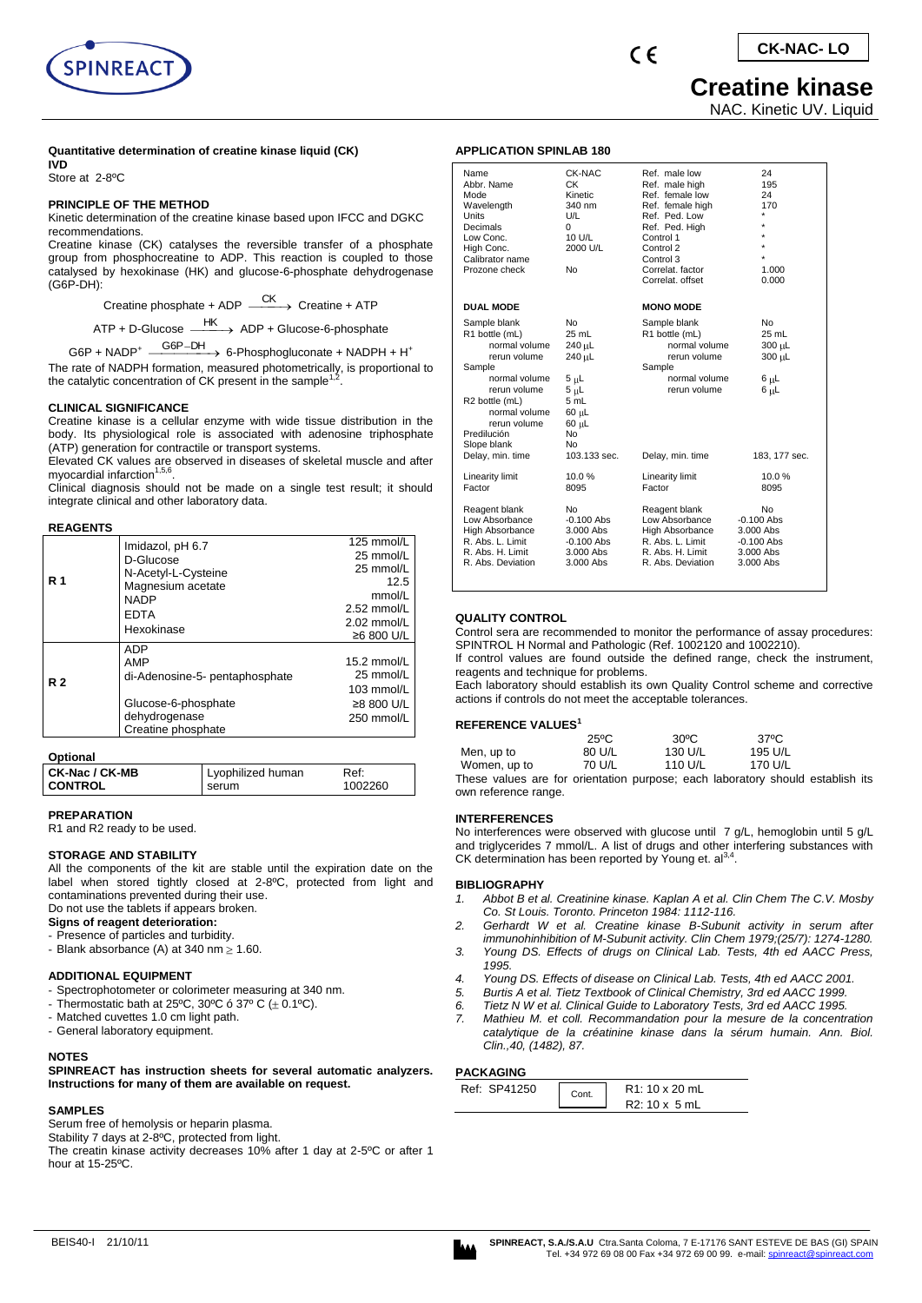

# **Creatine kinase**

NAC. Kinetic UV. Liquid

## **Quantitative determination of creatine kinase liquid (CK)**

**IVD** Store at 2-8ºC

## **PRINCIPLE OF THE METHOD**

Kinetic determination of the creatine kinase based upon IFCC and DGKC recommendations.

Creatine kinase (CK) catalyses the reversible transfer of a phosphate group from phosphocreatine to ADP. This reaction is coupled to those catalysed by hexokinase (HK) and glucose-6-phosphate dehydrogenase (G6P-DH):

Creatine phosphate + ADP  $\xrightarrow{\text{CK}}$  Creatine + ATP

ATP + D-Glucose  $\xrightarrow{\text{HK}}$  ADP + Glucose-6-phosphate

G6P + NADP<sup>+</sup>  $\xrightarrow{\text{G6P-DH}}$  6-Phosphogluconate + NADPH + H<sup>+</sup>

The rate of NADPH formation, measured photometrically, is proportional to<br>the catalytic concentration of CK present in the sample<sup>1,2</sup>.

## **CLINICAL SIGNIFICANCE**

Creatine kinase is a cellular enzyme with wide tissue distribution in the body. Its physiological role is associated with adenosine triphosphate (ATP) generation for contractile or transport systems.

Elevated CK values are observed in diseases of skeletal muscle and after myocardial infarction<sup>1,5,6</sup>.

Clinical diagnosis should not be made on a single test result; it should integrate clinical and other laboratory data.

#### **REAGENTS**

|                | Imidazol, pH 6.7               | 125 mmol/L    |
|----------------|--------------------------------|---------------|
|                | D-Glucose                      | 25 mmol/L     |
|                | N-Acetyl-L-Cysteine            | 25 mmol/L     |
| R <sub>1</sub> | Magnesium acetate              | 12.5          |
|                | <b>NADP</b>                    | mmol/L        |
|                | <b>EDTA</b>                    | $2.52$ mmol/L |
|                | Hexokinase                     | $2.02$ mmol/L |
|                |                                | ≥6 800 U/L    |
|                | ADP                            |               |
| R <sub>2</sub> | AMP                            | 15.2 mmol/L   |
|                | di-Adenosine-5- pentaphosphate | 25 mmol/L     |
|                |                                | 103 mmol/L    |
|                | Glucose-6-phosphate            | ≥8 800 U/L    |
|                | dehydrogenase                  | 250 mmol/L    |
|                | Creatine phosphate             |               |

#### **Optional**

| CK-Nac / CK-MB | Lyophilized human | Ref:    |
|----------------|-------------------|---------|
| I CONTROL      | serum             | 1002260 |

#### **PREPARATION**

R1 and R2 ready to be used.

## **STORAGE AND STABILITY**

All the components of the kit are stable until the expiration date on the label when stored tightly closed at 2-8ºC, protected from light and contaminations prevented during their use. Do not use the tablets if appears broken.

**Signs of reagent deterioration:** 

- Presence of particles and turbidity.
- Blank absorbance (A) at 340 nm  $\geq 1.60$ .

## **ADDITIONAL EQUIPMENT**

- Spectrophotometer or colorimeter measuring at 340 nm.
- Thermostatic bath at 25°C, 30°C ó 37° C  $(\pm 0.1$ °C).
- Matched cuvettes 1.0 cm light path.
- General laboratory equipment.

#### **NOTES**

**SPINREACT has instruction sheets for several automatic analyzers. Instructions for many of them are available on request.**

### **SAMPLES**

Serum free of hemolysis or heparin plasma.

Stability 7 days at 2-8ºC, protected from light.

The creatin kinase activity decreases 10% after 1 day at 2-5ºC or after 1 hour at 15-25ºC.

| Name<br>Abbr. Name<br>Mode<br>Wavelength<br>Units<br>Decimals<br>Low Conc.<br>High Conc.<br>Calibrator name<br>Prozone check                                                                                    | <b>CK-NAC</b><br><b>CK</b><br>Kinetic<br>340 nm<br>U/L<br>0<br>10 U/L<br>2000 U/L<br><b>No</b>                                                 | Ref. male low<br>Ref. male high<br>Ref. female low<br>Ref. female high<br>Ref. Ped. Low<br>Ref. Ped. High<br>Control 1<br>Control 2<br>Control 3<br>Correlat. factor<br>Correlat. offset | 24<br>195<br>24<br>170<br>$\star$<br>÷<br>1.000<br>0.000                         |
|-----------------------------------------------------------------------------------------------------------------------------------------------------------------------------------------------------------------|------------------------------------------------------------------------------------------------------------------------------------------------|------------------------------------------------------------------------------------------------------------------------------------------------------------------------------------------|----------------------------------------------------------------------------------|
| <b>DUAL MODE</b>                                                                                                                                                                                                |                                                                                                                                                | <b>MONO MODE</b>                                                                                                                                                                         |                                                                                  |
| Sample blank<br>R1 bottle (mL)<br>normal volume<br>rerun volume<br>Sample<br>normal volume<br>rerun volume<br>R2 bottle (mL)<br>normal volume<br>rerun volume<br>Predilución<br>Slope blank<br>Delay, min. time | <b>No</b><br>25 mL<br>240 µL<br>240 µL<br>$5 \mu L$<br>$5 \mu L$<br>5 mL<br>$60 \mu L$<br>$60 \mu L$<br><b>No</b><br><b>No</b><br>103.133 sec. | Sample blank<br>R1 bottle (mL)<br>normal volume<br>rerun volume<br>Sample<br>normal volume<br>rerun volume<br>Delay, min. time                                                           | No<br>25 mL<br>300 µL<br>300 µL<br>$6 \mu L$<br>$6 \mu L$<br>183, 177 sec.       |
| <b>Linearity limit</b><br>Factor                                                                                                                                                                                | 10.0%<br>8095                                                                                                                                  | Linearity limit<br>Factor                                                                                                                                                                | 10.0%<br>8095                                                                    |
| Reagent blank<br>Low Absorbance<br><b>High Absorbance</b><br>R. Abs. L. Limit<br>R. Abs. H. Limit<br>R. Abs. Deviation                                                                                          | <b>No</b><br>$-0.100$ Abs<br>3.000 Abs<br>$-0.100$ Abs<br>3.000 Abs<br>3.000 Abs                                                               | Reagent blank<br>Low Absorbance<br>High Absorbance<br>R. Abs. L. Limit<br>R. Abs. H. Limit<br>R. Abs. Deviation                                                                          | <b>No</b><br>$-0.100$ Abs<br>3.000 Abs<br>$-0.100$ Abs<br>3.000 Abs<br>3.000 Abs |

#### **QUALITY CONTROL**

**APPLICATION SPINLAB 180**

Control sera are recommended to monitor the performance of assay procedures: SPINTROL H Normal and Pathologic (Ref. 1002120 and 1002210).

If control values are found outside the defined range, check the instrument, reagents and technique for problems.

Each laboratory should establish its own Quality Control scheme and corrective actions if controls do not meet the acceptable tolerances.

#### **REFERENCE VALUES<sup>1</sup>**

|              | $25^{\circ}$ C | $30^{\circ}$ C | 37°C    |  |
|--------------|----------------|----------------|---------|--|
| Men, up to   | 80 U/L         | 130 U/L        | 195 U/L |  |
| Women, up to | 70 U/L         | 110 U/L        | 170 U/L |  |
| ÷            |                |                |         |  |

These values are for orientation purpose; each laboratory should establish its own reference range.

## **INTERFERENCES**

No interferences were observed with glucose until 7 g/L, hemoglobin until 5 g/L and triglycerides 7 mmol/L. A list of drugs and other interfering substances with CK determination has been reported by Young et.  $a^{3,4}$ .

#### **BIBLIOGRAPHY**

- *1. Abbot B et al. Creatinine kinase. Kaplan A et al. Clin Chem The C.V. Mosby Co. St Louis. Toronto. Princeton 1984: 1112-116.*
- *2. Gerhardt W et al. Creatine kinase B-Subunit activity in serum after immunohinhibition of M-Subunit activity. Clin Chem 1979;(25/7): 1274-1280.*
- *3. Young DS. Effects of drugs on Clinical Lab. Tests, 4th ed AACC Press, 1995.*
- *4. Young DS. Effects of disease on Clinical Lab. Tests, 4th ed AACC 2001.*
- *5. Burtis A et al. Tietz Textbook of Clinical Chemistry, 3rd ed AACC 1999.*
- *6. Tietz N W et al. Clinical Guide to Laboratory Tests, 3rd ed AACC 1995.*
- *7. Mathieu M. et coll. Recommandation pour la mesure de la concentration catalytique de la créatinine kinase dans la sérum humain. Ann. Biol. Clin.,40, (1482), 87.*

## **PACKAGING**

| Ref: SP41250 | ~ont. | R <sub>1</sub> : 10 x 20 mL |
|--------------|-------|-----------------------------|
|              |       | R2: 10 x 5 mL               |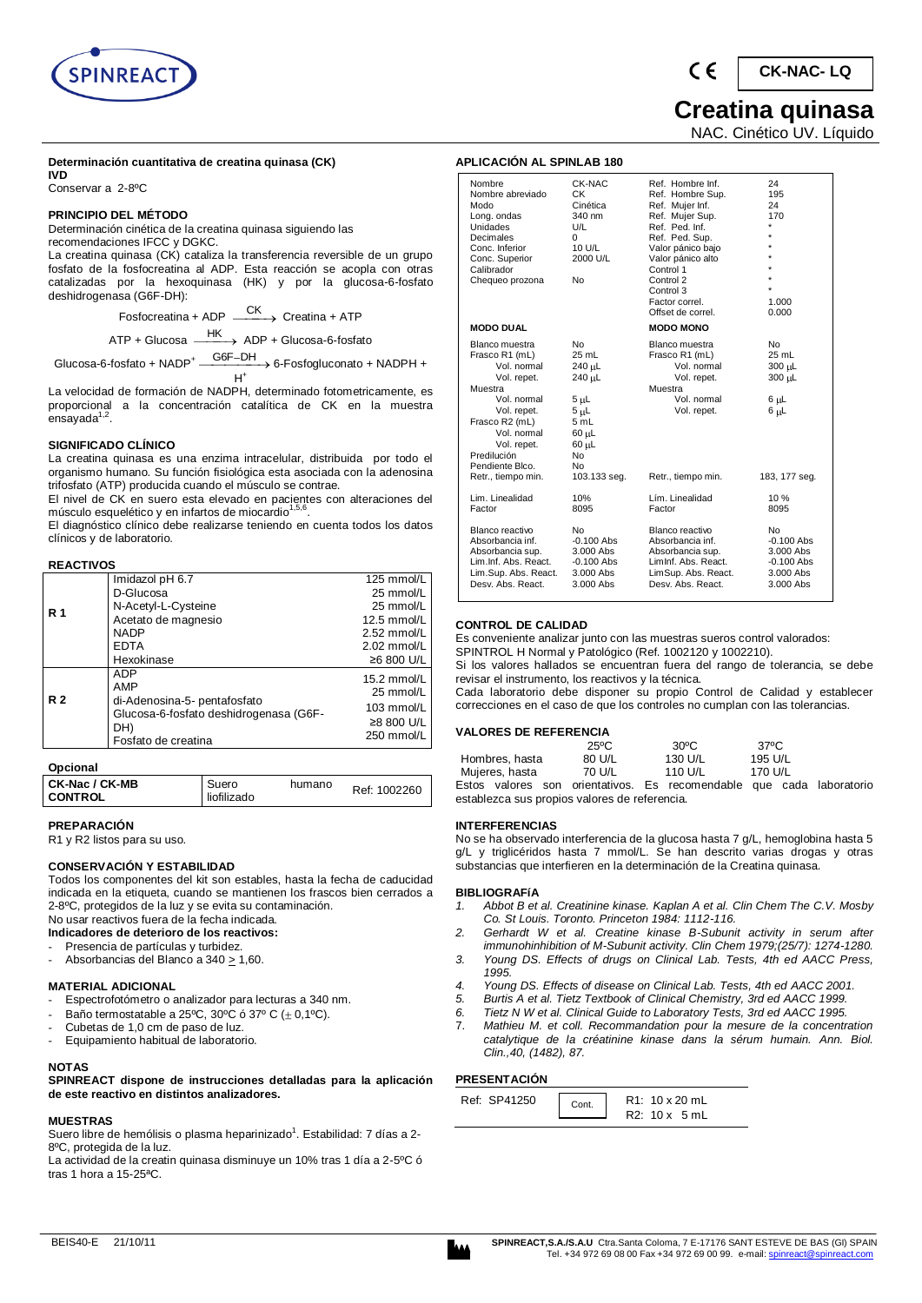

## **Determinación cuantitativa de creatina quinasa (CK)**

**IVD**  Conservar a 2-8ºC

## **PRINCIPIO DEL MÉTODO**

Determinación cinética de la creatina quinasa siguiendo las recomendaciones IFCC y DGKC.

La creatina quinasa (CK) cataliza la transferencia reversible de un grupo fosfato de la fosfocreatina al ADP. Esta reacción se acopla con otras catalizadas por la hexoquinasa (HK) y por la glucosa-6-fosfato deshidrogenasa (G6F-DH):

> Fosfocreatina + ADP  $\xrightarrow{\text{CK}}$  Creatina + ATP ATP + Glucosa HK ADP + Glucosa-6-fosfato

Glucosa-6-fosfato + NADP<sup>+</sup>  $\frac{\text{G6F-DH}}{\text{G6F-DH}}$  & Fosfogluconato + NADPH +  $H^+$ 

La velocidad de formación de NADPH, determinado fotometricamente, es proporcional a la concentración catalítica de CK en la muestra .<br>ensayada<sup>1,2</sup>.

## **SIGNIFICADO CLÍNICO**

La creatina quinasa es una enzima intracelular, distribuida por todo el organismo humano. Su función fisiológica esta asociada con la adenosina trifosfato (ATP) producida cuando el músculo se contrae.

El nivel de CK en suero esta elevado en pacientes con alteraciones del<br>músculo esquelético y en infartos de miocardio<sup>1,5,6</sup>.

El diagnóstico clínico debe realizarse teniendo en cuenta todos los datos clínicos y de laboratorio.

## **REACTIVOS**

|            | Imidazol pH 6.7                        | 125 mmol/L  |
|------------|----------------------------------------|-------------|
| <b>R</b> 1 | D-Glucosa                              | 25 mmol/L   |
|            | N-Acetyl-L-Cysteine                    | 25 mmol/L   |
|            | Acetato de magnesio                    | 12.5 mmol/L |
|            | <b>NADP</b>                            | 2.52 mmol/L |
|            | <b>EDTA</b>                            | 2.02 mmol/L |
|            | Hexokinase                             | ≥6 800 U/L  |
|            | <b>ADP</b>                             | 15.2 mmol/L |
|            | AMP                                    | 25 mmol/L   |
| <b>R2</b>  | di-Adenosina-5- pentafosfato           | 103 mmol/L  |
|            | Glucosa-6-fosfato deshidrogenasa (G6F- | ≥8 800 U/L  |
|            | DH)<br>Fosfato de creatina             | 250 mmol/L  |
|            |                                        |             |

## **Opcional**

| CK-Nac / CK-MB<br><b>CONTROL</b> | Suero<br>liofilizado | humano | Ref: 1002260 |
|----------------------------------|----------------------|--------|--------------|
|----------------------------------|----------------------|--------|--------------|

**PREPARACIÓN** 

R1 y R2 listos para su uso.

## **CONSERVACIÓN Y ESTABILIDAD**

Todos los componentes del kit son estables, hasta la fecha de caducidad indicada en la etiqueta, cuando se mantienen los frascos bien cerrados a 2-8ºC, protegidos de la luz y se evita su contaminación. No usar reactivos fuera de la fecha indicada.

**Indicadores de deterioro de los reactivos:** 

- Presencia de partículas y turbidez.
- Absorbancias del Blanco a 340 > 1,60.

## **MATERIAL ADICIONAL**

- Espectrofotómetro o analizador para lecturas a 340 nm.
- Baño termostatable a 25°C, 30°C ó 37° C ( $\pm$  0,1°C).
- Cubetas de 1,0 cm de paso de luz.
- Equipamiento habitual de laboratorio.

#### **NOTAS**

**SPINREACT dispone de instrucciones detalladas para la aplicación de este reactivo en distintos analizadores.** 

## **MUESTRAS**

Suero libre de hemólisis o plasma heparinizado<sup>1</sup>. Estabilidad: 7 días a 2-8ºC, protegida de la luz.

La actividad de la creatin quinasa disminuye un 10% tras 1 día a 2-5ºC ó tras 1 hora a 15-25ªC.

 $\epsilon$ **CK-NAC- LQ**

## **Creatina quinasa**

NAC. Cinético UV. Líquido

## **APLICACIÓN AL SPINLAB 180**

| Nombre<br>Nombre abreviado<br>Modo<br>Long. ondas<br><b>Unidades</b><br>Decimales<br>Conc. Inferior<br>Conc. Superior<br>Calibrador<br>Chequeo prozona                                    | CK-NAC<br>СK<br>Cinética<br>340 nm<br>U/L<br>0<br>10 U/L<br>2000 U/L<br>No                                      | Ref. Hombre Inf.<br>Ref. Hombre Sup.<br>Ref. Mujer Inf.<br>Ref. Mujer Sup.<br>Ref. Ped. Inf.<br>Ref. Ped. Sup.<br>Valor pánico bajo<br>Valor pánico alto<br>Control 1<br>Control 2<br>Control 3<br>Factor correl.<br>Offset de correl. | 24<br>195<br>24<br>170<br>$\star$<br>$\star$<br>$\star$<br>÷<br>1.000<br>0.000 |
|-------------------------------------------------------------------------------------------------------------------------------------------------------------------------------------------|-----------------------------------------------------------------------------------------------------------------|----------------------------------------------------------------------------------------------------------------------------------------------------------------------------------------------------------------------------------------|--------------------------------------------------------------------------------|
| <b>MODO DUAL</b>                                                                                                                                                                          |                                                                                                                 | <b>MODO MONO</b>                                                                                                                                                                                                                       |                                                                                |
| Blanco muestra<br>Frasco R1 (mL)<br>Vol. normal<br>Vol. repet.<br>Muestra<br>Vol. normal<br>Vol. repet.<br>Frasco R2 (mL)<br>Vol. normal<br>Vol. repet.<br>Predilución<br>Pendiente Blco. | <b>No</b><br>25 mL<br>240 µL<br>240 uL<br>$5 \mu L$<br>5 սԼ<br>5mL<br>$60$ uL<br>60 µL<br>N <sub>o</sub><br>No. | Blanco muestra<br>Frasco R1 (mL)<br>Vol. normal<br>Vol. repet.<br>Muestra<br>Vol. normal<br>Vol. repet.                                                                                                                                | N <sub>o</sub><br>$25$ mL<br>300 µL<br>300 uL<br>6 սԼ<br>6 սԼ                  |
| Retr., tiempo min.                                                                                                                                                                        | 103.133 seg.                                                                                                    | Retr., tiempo min.                                                                                                                                                                                                                     | 183, 177 seg.                                                                  |
| Lim. Linealidad<br>Factor                                                                                                                                                                 | 10%<br>8095                                                                                                     | Lím. Linealidad<br>Factor                                                                                                                                                                                                              | 10%<br>8095                                                                    |
| Blanco reactivo<br>Absorbancia inf.<br>Absorbancia sup.<br>Lim.Inf. Abs. React.<br>Lim.Sup. Abs. React.<br>Desy, Abs. React.                                                              | No.<br>$-0.100$ Abs<br>3.000 Abs<br>$-0.100$ Abs<br>3.000 Abs<br>3.000 Abs                                      | Blanco reactivo<br>Absorbancia inf.<br>Absorbancia sup.<br>Liminf. Abs. React.<br>LimSup. Abs. React.<br>Desy, Abs. React.                                                                                                             | No.<br>$-0.100$ Abs<br>3.000 Abs<br>$-0.100$ Abs<br>3.000 Abs<br>3.000 Abs     |

## **CONTROL DE CALIDAD**

Es conveniente analizar junto con las muestras sueros control valorados:

SPINTROL H Normal y Patológico (Ref. 1002120 y 1002210). Si los valores hallados se encuentran fuera del rango de tolerancia, se debe

revisar el instrumento, los reactivos y la técnica. Cada laboratorio debe disponer su propio Control de Calidad y establecer correcciones en el caso de que los controles no cumplan con las tolerancias.

## **VALORES DE REFERENCIA**

|                                                                      | $25^{\circ}$ C | $30^{\circ}$ C | $37^{\circ}$ C |  |
|----------------------------------------------------------------------|----------------|----------------|----------------|--|
| Hombres, hasta                                                       | 80 U/L         | 130 U/L        | 195 U/L        |  |
| Mujeres, hasta                                                       | 70 U/L         | 110 U/L        | 170 U/L        |  |
| Estos valores son orientativos. Es recomendable que cada laboratorio |                |                |                |  |
| establezca sus propios valores de referencia.                        |                |                |                |  |

## **INTERFERENCIAS**

No se ha observado interferencia de la glucosa hasta 7 g/L, hemoglobina hasta 5 g/L y triglicéridos hasta 7 mmol/L. Se han descrito varias drogas y otras substancias que interfieren en la determinación de la Creatina quinasa.

#### **BIBLIOGRAFíA**

- *1. Abbot B et al. Creatinine kinase. Kaplan A et al. Clin Chem The C.V. Mosby Co. St Louis. Toronto. Princeton 1984: 1112-116.*
- *2. Gerhardt W et al. Creatine kinase B-Subunit activity in serum after immunohinhibition of M-Subunit activity. Clin Chem 1979;(25/7): 1274-1280.*
- *3. Young DS. Effects of drugs on Clinical Lab. Tests, 4th ed AACC Press, 1995.*
- *4. Young DS. Effects of disease on Clinical Lab. Tests, 4th ed AACC 2001.*
- *5. Burtis A et al. Tietz Textbook of Clinical Chemistry, 3rd ed AACC 1999.*
- *6. Tietz N W et al. Clinical Guide to Laboratory Tests, 3rd ed AACC 1995.*
- 7. *Mathieu M. et coll. Recommandation pour la mesure de la concentration catalytique de la créatinine kinase dans la sérum humain. Ann. Biol. Clin.,40, (1482), 87.*

## **PRESENTACIÓN**

| Ref: SP41250 | Cont. | R1: 10 x 20 mL<br>$R2: 10 \times 5$ mL |
|--------------|-------|----------------------------------------|
|              |       |                                        |